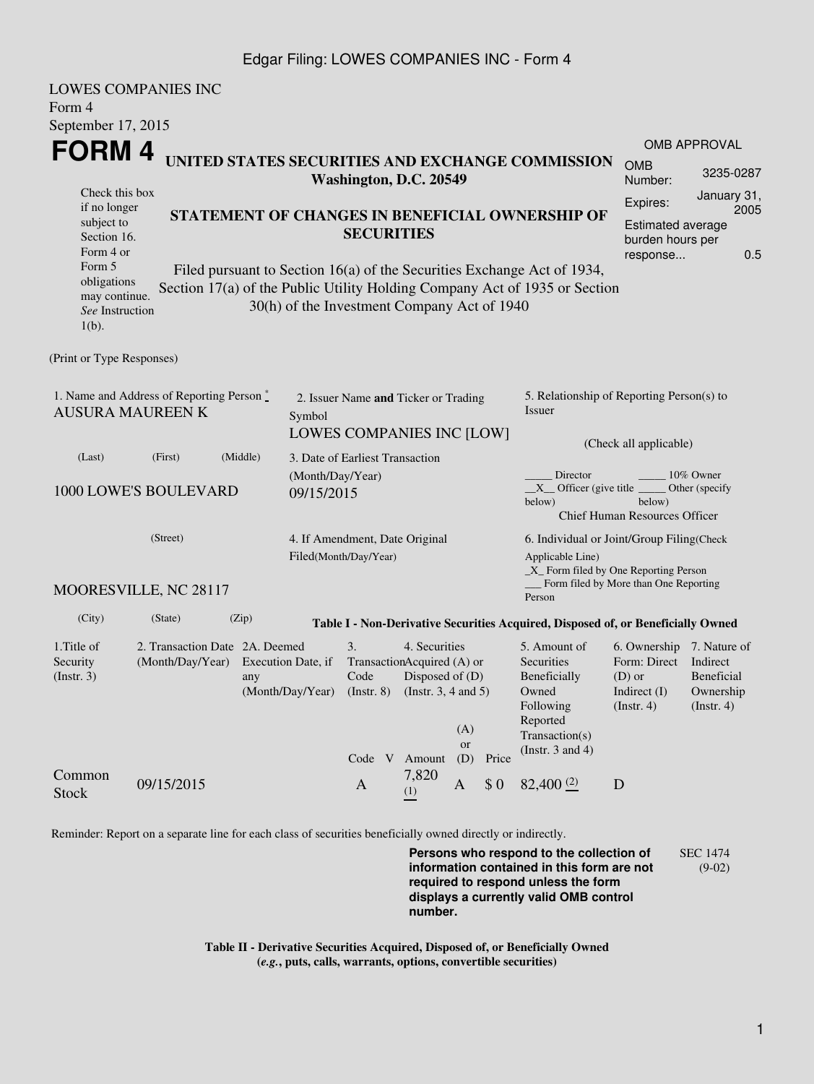#### Edgar Filing: LOWES COMPANIES INC - Form 4

| <b>LOWES COMPANIES INC</b>                                             |                                                 |                   |                                               |                                      |                                                                                                        |           |       |                                                                                  |                                       |                         |  |
|------------------------------------------------------------------------|-------------------------------------------------|-------------------|-----------------------------------------------|--------------------------------------|--------------------------------------------------------------------------------------------------------|-----------|-------|----------------------------------------------------------------------------------|---------------------------------------|-------------------------|--|
| Form 4                                                                 |                                                 |                   |                                               |                                      |                                                                                                        |           |       |                                                                                  |                                       |                         |  |
| September 17, 2015                                                     |                                                 |                   |                                               |                                      |                                                                                                        |           |       |                                                                                  |                                       |                         |  |
| FORM 4                                                                 |                                                 |                   |                                               |                                      |                                                                                                        |           |       |                                                                                  | <b>OMB APPROVAL</b>                   |                         |  |
|                                                                        |                                                 |                   |                                               |                                      | Washington, D.C. 20549                                                                                 |           |       | UNITED STATES SECURITIES AND EXCHANGE COMMISSION                                 | <b>OMB</b><br>Number:                 | 3235-0287               |  |
| Check this box                                                         |                                                 |                   |                                               |                                      |                                                                                                        |           |       |                                                                                  | Expires:                              | January 31,             |  |
| if no longer<br>subject to                                             | STATEMENT OF CHANGES IN BENEFICIAL OWNERSHIP OF |                   |                                               |                                      |                                                                                                        |           |       |                                                                                  | 2005<br><b>Estimated average</b>      |                         |  |
| Section 16.                                                            |                                                 | <b>SECURITIES</b> |                                               |                                      |                                                                                                        |           |       |                                                                                  |                                       | burden hours per        |  |
| Form 4 or                                                              |                                                 |                   |                                               |                                      |                                                                                                        |           |       |                                                                                  |                                       | 0.5<br>response         |  |
| Form 5<br>obligations                                                  |                                                 |                   |                                               |                                      |                                                                                                        |           |       | Filed pursuant to Section 16(a) of the Securities Exchange Act of 1934,          |                                       |                         |  |
| may continue.                                                          |                                                 |                   |                                               |                                      |                                                                                                        |           |       | Section 17(a) of the Public Utility Holding Company Act of 1935 or Section       |                                       |                         |  |
| See Instruction<br>$1(b)$ .                                            |                                                 |                   | 30(h) of the Investment Company Act of 1940   |                                      |                                                                                                        |           |       |                                                                                  |                                       |                         |  |
| (Print or Type Responses)                                              |                                                 |                   |                                               |                                      |                                                                                                        |           |       |                                                                                  |                                       |                         |  |
|                                                                        |                                                 |                   |                                               |                                      |                                                                                                        |           |       |                                                                                  |                                       |                         |  |
| 1. Name and Address of Reporting Person $*$<br><b>AUSURA MAUREEN K</b> |                                                 |                   |                                               | 2. Issuer Name and Ticker or Trading |                                                                                                        |           |       | 5. Relationship of Reporting Person(s) to<br>Issuer                              |                                       |                         |  |
|                                                                        |                                                 |                   | Symbol                                        | LOWES COMPANIES INC [LOW]            |                                                                                                        |           |       |                                                                                  |                                       |                         |  |
|                                                                        |                                                 |                   |                                               |                                      |                                                                                                        |           |       | (Check all applicable)                                                           |                                       |                         |  |
| (Last)                                                                 | (First)                                         | (Middle)          |                                               | 3. Date of Earliest Transaction      |                                                                                                        |           |       |                                                                                  |                                       |                         |  |
|                                                                        |                                                 |                   |                                               | (Month/Day/Year)                     |                                                                                                        |           |       | Director<br>10% Owner<br>$X$ Officer (give title<br>Other (specify               |                                       |                         |  |
| 1000 LOWE'S BOULEVARD                                                  |                                                 |                   |                                               | 09/15/2015                           |                                                                                                        |           |       | below)<br>below)                                                                 |                                       |                         |  |
|                                                                        |                                                 |                   |                                               |                                      |                                                                                                        |           |       |                                                                                  | <b>Chief Human Resources Officer</b>  |                         |  |
|                                                                        | (Street)                                        |                   |                                               | 4. If Amendment, Date Original       |                                                                                                        |           |       | 6. Individual or Joint/Group Filing (Check                                       |                                       |                         |  |
|                                                                        |                                                 |                   |                                               | Filed(Month/Day/Year)                |                                                                                                        |           |       | Applicable Line)                                                                 |                                       |                         |  |
|                                                                        |                                                 |                   |                                               |                                      |                                                                                                        |           |       | $X$ Form filed by One Reporting Person                                           | Form filed by More than One Reporting |                         |  |
|                                                                        | MOORESVILLE, NC 28117                           |                   |                                               |                                      |                                                                                                        |           |       | Person                                                                           |                                       |                         |  |
| (City)                                                                 | (State)                                         | (Zip)             |                                               |                                      |                                                                                                        |           |       | Table I - Non-Derivative Securities Acquired, Disposed of, or Beneficially Owned |                                       |                         |  |
| 1. Title of                                                            | 2. Transaction Date 2A. Deemed                  |                   |                                               | 3.                                   | 4. Securities                                                                                          |           |       | 5. Amount of                                                                     | 6. Ownership                          | 7. Nature of            |  |
| Security                                                               | (Month/Day/Year)                                |                   | Execution Date, if<br>any<br>(Month/Day/Year) |                                      | TransactionAcquired (A) or<br>Code<br>Disposed of $(D)$<br>$($ Instr. $8)$<br>(Instr. $3, 4$ and $5$ ) |           |       | Securities                                                                       | Form: Direct                          | Indirect                |  |
| (Insert. 3)                                                            |                                                 |                   |                                               |                                      |                                                                                                        |           |       | Beneficially<br>Owned                                                            | $(D)$ or<br>Indirect $(I)$            | Beneficial<br>Ownership |  |
|                                                                        |                                                 |                   |                                               |                                      |                                                                                                        |           |       | Following                                                                        | $($ Instr. 4 $)$                      | $($ Instr. 4 $)$        |  |
|                                                                        |                                                 |                   |                                               |                                      |                                                                                                        | (A)       |       | Reported                                                                         |                                       |                         |  |
|                                                                        |                                                 |                   |                                               |                                      |                                                                                                        | <b>or</b> |       | Transaction(s)                                                                   |                                       |                         |  |
|                                                                        |                                                 |                   |                                               |                                      | Code V Amount                                                                                          | (D)       | Price | (Instr. $3$ and $4$ )                                                            |                                       |                         |  |
| Common<br>Stock                                                        | 09/15/2015                                      |                   |                                               | A                                    | 7,820<br>(1)                                                                                           | A         | \$0   | 82,400(2)                                                                        | D                                     |                         |  |

Reminder: Report on a separate line for each class of securities beneficially owned directly or indirectly.

**Persons who respond to the collection of information contained in this form are not required to respond unless the form displays a currently valid OMB control number.** SEC 1474 (9-02)

**Table II - Derivative Securities Acquired, Disposed of, or Beneficially Owned (***e.g.***, puts, calls, warrants, options, convertible securities)**